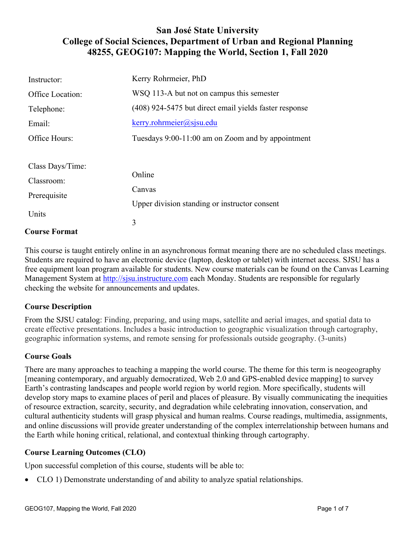## **San José State University College of Social Sciences, Department of Urban and Regional Planning 48255, GEOG107: Mapping the World, Section 1, Fall 2020**

| Instructor:          | Kerry Rohrmeier, PhD                                   |
|----------------------|--------------------------------------------------------|
| Office Location:     | WSQ 113-A but not on campus this semester              |
| Telephone:           | (408) 924-5475 but direct email yields faster response |
| Email:               | $k$ erry.rohrmeier@sjsu.edu                            |
| Office Hours:        | Tuesdays 9:00-11:00 am on Zoom and by appointment      |
|                      |                                                        |
| Class Days/Time:     |                                                        |
| Classroom:           | Online                                                 |
| Prerequisite         | Canvas                                                 |
|                      | Upper division standing or instructor consent          |
| Units                |                                                        |
| <b>Course Format</b> | 3                                                      |

This course is taught entirely online in an asynchronous format meaning there are no scheduled class meetings. Students are required to have an electronic device (laptop, desktop or tablet) with internet access. SJSU has a free equipment loan program available for students. New course materials can be found on the Canvas Learning Management System at http://sjsu.instructure.com each Monday. Students are responsible for regularly checking the website for announcements and updates.

## **Course Description**

From the SJSU catalog: Finding, preparing, and using maps, satellite and aerial images, and spatial data to create effective presentations. Includes a basic introduction to geographic visualization through cartography, geographic information systems, and remote sensing for professionals outside geography. (3-units)

#### **Course Goals**

There are many approaches to teaching a mapping the world course. The theme for this term is neogeography [meaning contemporary, and arguably democratized, Web 2.0 and GPS-enabled device mapping] to survey Earth's contrasting landscapes and people world region by world region. More specifically, students will develop story maps to examine places of peril and places of pleasure. By visually communicating the inequities of resource extraction, scarcity, security, and degradation while celebrating innovation, conservation, and cultural authenticity students will grasp physical and human realms. Course readings, multimedia, assignments, and online discussions will provide greater understanding of the complex interrelationship between humans and the Earth while honing critical, relational, and contextual thinking through cartography.

## **Course Learning Outcomes (CLO)**

Upon successful completion of this course, students will be able to:

• CLO 1) Demonstrate understanding of and ability to analyze spatial relationships.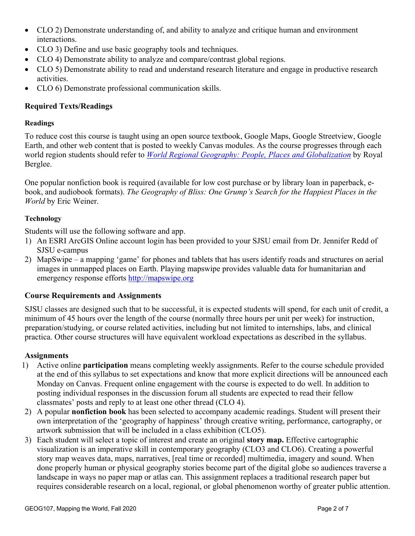- CLO 2) Demonstrate understanding of, and ability to analyze and critique human and environment interactions.
- CLO 3) Define and use basic geography tools and techniques.
- CLO 4) Demonstrate ability to analyze and compare/contrast global regions.
- CLO 5) Demonstrate ability to read and understand research literature and engage in productive research activities.
- CLO 6) Demonstrate professional communication skills.

## **Required Texts/Readings**

## **Readings**

To reduce cost this course is taught using an open source textbook, Google Maps, Google Streetview, Google Earth, and other web content that is posted to weekly Canvas modules. As the course progresses through each world region students should refer to *World Regional Geography: People, Places and Globalization* by Royal Berglee.

One popular nonfiction book is required (available for low cost purchase or by library loan in paperback, ebook, and audiobook formats). *The Geography of Bliss: One Grump's Search for the Happiest Places in the World* by Eric Weiner.

### **Technology**

Students will use the following software and app.

- 1) An ESRI ArcGIS Online account login has been provided to your SJSU email from Dr. Jennifer Redd of SJSU e-campus
- 2) MapSwipe a mapping 'game' for phones and tablets that has users identify roads and structures on aerial images in unmapped places on Earth. Playing mapswipe provides valuable data for humanitarian and emergency response efforts http://mapswipe.org

## **Course Requirements and Assignments**

SJSU classes are designed such that to be successful, it is expected students will spend, for each unit of credit, a minimum of 45 hours over the length of the course (normally three hours per unit per week) for instruction, preparation/studying, or course related activities, including but not limited to internships, labs, and clinical practica. Other course structures will have equivalent workload expectations as described in the syllabus.

#### **Assignments**

- 1) Active online **participation** means completing weekly assignments. Refer to the course schedule provided at the end of this syllabus to set expectations and know that more explicit directions will be announced each Monday on Canvas. Frequent online engagement with the course is expected to do well. In addition to posting individual responses in the discussion forum all students are expected to read their fellow classmates' posts and reply to at least one other thread (CLO 4).
- 2) A popular **nonfiction book** has been selected to accompany academic readings. Student will present their own interpretation of the 'geography of happiness' through creative writing, performance, cartography, or artwork submission that will be included in a class exhibition (CLO5).
- 3) Each student will select a topic of interest and create an original **story map.** Effective cartographic visualization is an imperative skill in contemporary geography (CLO3 and CLO6). Creating a powerful story map weaves data, maps, narratives, [real time or recorded] multimedia, imagery and sound. When done properly human or physical geography stories become part of the digital globe so audiences traverse a landscape in ways no paper map or atlas can. This assignment replaces a traditional research paper but requires considerable research on a local, regional, or global phenomenon worthy of greater public attention.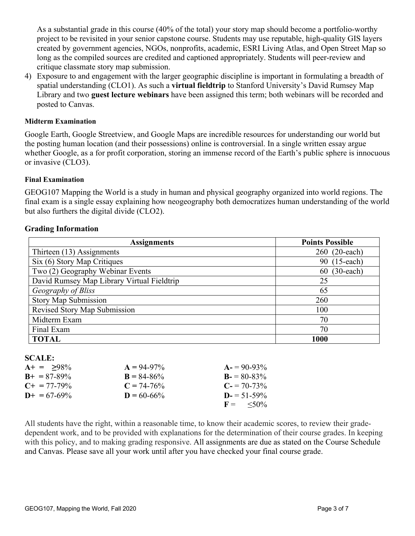As a substantial grade in this course (40% of the total) your story map should become a portfolio-worthy project to be revisited in your senior capstone course. Students may use reputable, high-quality GIS layers created by government agencies, NGOs, nonprofits, academic, ESRI Living Atlas, and Open Street Map so long as the compiled sources are credited and captioned appropriately. Students will peer-review and critique classmate story map submission.

4) Exposure to and engagement with the larger geographic discipline is important in formulating a breadth of spatial understanding (CLO1). As such a **virtual fieldtrip** to Stanford University's David Rumsey Map Library and two **guest lecture webinars** have been assigned this term; both webinars will be recorded and posted to Canvas.

#### **Midterm Examination**

Google Earth, Google Streetview, and Google Maps are incredible resources for understanding our world but the posting human location (and their possessions) online is controversial. In a single written essay argue whether Google, as a for profit corporation, storing an immense record of the Earth's public sphere is innocuous or invasive (CLO3).

#### **Final Examination**

GEOG107 Mapping the World is a study in human and physical geography organized into world regions. The final exam is a single essay explaining how neogeography both democratizes human understanding of the world but also furthers the digital divide (CLO2).

#### **Grading Information**

| <b>Assignments</b>                         | <b>Points Possible</b> |
|--------------------------------------------|------------------------|
| Thirteen (13) Assignments                  | 260 (20-each)          |
| Six (6) Story Map Critiques                | 90 (15-each)           |
| Two (2) Geography Webinar Events           | $(30$ -each)<br>60     |
| David Rumsey Map Library Virtual Fieldtrip | 25                     |
| Geography of Bliss                         | 65                     |
| <b>Story Map Submission</b>                | 260                    |
| <b>Revised Story Map Submission</b>        | 100                    |
| Midterm Exam                               | 70                     |
| Final Exam                                 | 70                     |
| <b>TOTAL</b>                               | 1000                   |

#### **SCALE:**

| $A+ = 98\%$           | $A = 94-97\%$   | $A = 90-93\%$              |
|-----------------------|-----------------|----------------------------|
| $B_{+} = 87 - 89\%$   | $B = 84 - 86\%$ | $B = 80-83\%$              |
| $C_{\pm} = 77 - 79\%$ | $C = 74-76%$    | $C = 70-73\%$              |
| $D+ = 67-69\%$        | $D = 60 - 66\%$ | $D = 51 - 59\%$            |
|                       |                 | $F = \langle 50\% \rangle$ |

All students have the right, within a reasonable time, to know their academic scores, to review their gradedependent work, and to be provided with explanations for the determination of their course grades. In keeping with this policy, and to making grading responsive. All assignments are due as stated on the Course Schedule and Canvas. Please save all your work until after you have checked your final course grade.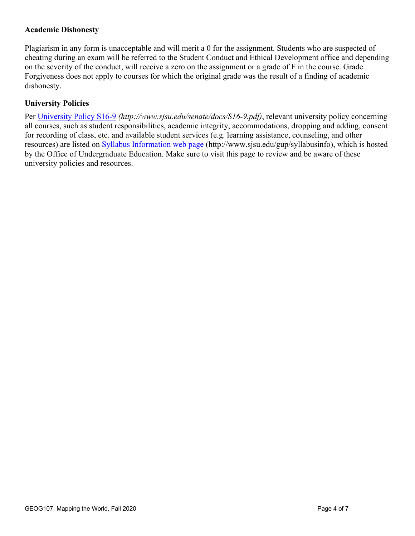## **Academic Dishonesty**

Plagiarism in any form is unacceptable and will merit a 0 for the assignment. Students who are suspected of cheating during an exam will be referred to the Student Conduct and Ethical Development office and depending on the severity of the conduct, will receive a zero on the assignment or a grade of F in the course. Grade Forgiveness does not apply to courses for which the original grade was the result of a finding of academic dishonesty.

## **University Policies**

Per University Policy S16-9 *(http://www.sjsu.edu/senate/docs/S16-9.pdf)*, relevant university policy concerning all courses, such as student responsibilities, academic integrity, accommodations, dropping and adding, consent for recording of class, etc. and available student services (e.g. learning assistance, counseling, and other resources) are listed on Syllabus Information web page (http://www.sjsu.edu/gup/syllabusinfo), which is hosted by the Office of Undergraduate Education. Make sure to visit this page to review and be aware of these university policies and resources.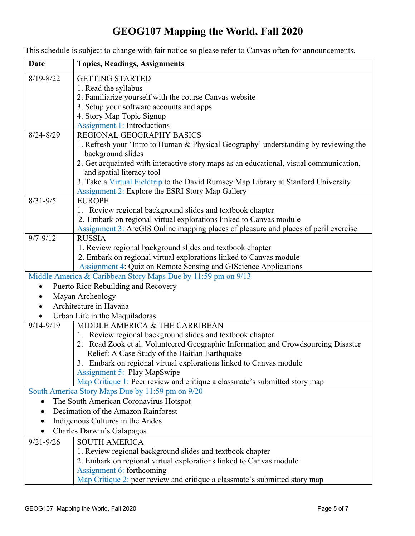# **GEOG107 Mapping the World, Fall 2020**

| <b>Date</b>                         | <b>Topics, Readings, Assignments</b>                                                                                            |
|-------------------------------------|---------------------------------------------------------------------------------------------------------------------------------|
| $8/19 - 8/22$                       | <b>GETTING STARTED</b>                                                                                                          |
|                                     | 1. Read the syllabus                                                                                                            |
|                                     | 2. Familiarize yourself with the course Canvas website                                                                          |
|                                     | 3. Setup your software accounts and apps                                                                                        |
|                                     | 4. Story Map Topic Signup                                                                                                       |
|                                     | <b>Assignment 1: Introductions</b>                                                                                              |
| $8/24 - 8/29$                       | <b>REGIONAL GEOGRAPHY BASICS</b>                                                                                                |
|                                     | 1. Refresh your 'Intro to Human & Physical Geography' understanding by reviewing the                                            |
|                                     | background slides                                                                                                               |
|                                     | 2. Get acquainted with interactive story maps as an educational, visual communication,                                          |
|                                     | and spatial literacy tool                                                                                                       |
|                                     | 3. Take a Virtual Fieldtrip to the David Rumsey Map Library at Stanford University                                              |
|                                     | Assignment 2: Explore the ESRI Story Map Gallery                                                                                |
| $8/31 - 9/5$                        | <b>EUROPE</b>                                                                                                                   |
|                                     | 1. Review regional background slides and textbook chapter<br>2. Embark on regional virtual explorations linked to Canvas module |
|                                     | Assignment 3: ArcGIS Online mapping places of pleasure and places of peril exercise                                             |
| $9/7 - 9/12$                        | <b>RUSSIA</b>                                                                                                                   |
|                                     | 1. Review regional background slides and textbook chapter                                                                       |
|                                     | 2. Embark on regional virtual explorations linked to Canvas module                                                              |
|                                     | Assignment 4: Quiz on Remote Sensing and GIScience Applications                                                                 |
|                                     | Middle America & Caribbean Story Maps Due by 11:59 pm on 9/13                                                                   |
|                                     | Puerto Rico Rebuilding and Recovery                                                                                             |
|                                     | Mayan Archeology                                                                                                                |
|                                     | Architecture in Havana                                                                                                          |
|                                     | Urban Life in the Maquiladoras                                                                                                  |
| $9/14 - 9/19$                       | MIDDLE AMERICA & THE CARRIBEAN                                                                                                  |
|                                     | 1. Review regional background slides and textbook chapter                                                                       |
|                                     | 2. Read Zook et al. Volunteered Geographic Information and Crowdsourcing Disaster                                               |
|                                     | Relief: A Case Study of the Haitian Earthquake                                                                                  |
|                                     | 3. Embark on regional virtual explorations linked to Canvas module                                                              |
|                                     | <b>Assignment 5: Play MapSwipe</b>                                                                                              |
|                                     | Map Critique 1: Peer review and critique a classmate's submitted story map                                                      |
|                                     | South America Story Maps Due by 11:59 pm on 9/20                                                                                |
|                                     | The South American Coronavirus Hotspot                                                                                          |
| Decimation of the Amazon Rainforest |                                                                                                                                 |
| Indigenous Cultures in the Andes    |                                                                                                                                 |
|                                     | Charles Darwin's Galapagos                                                                                                      |
| $9/21 - 9/26$                       | <b>SOUTH AMERICA</b>                                                                                                            |
|                                     | 1. Review regional background slides and textbook chapter                                                                       |
|                                     | 2. Embark on regional virtual explorations linked to Canvas module                                                              |
|                                     | Assignment 6: forthcoming                                                                                                       |
|                                     | Map Critique 2: peer review and critique a classmate's submitted story map                                                      |

This schedule is subject to change with fair notice so please refer to Canvas often for announcements.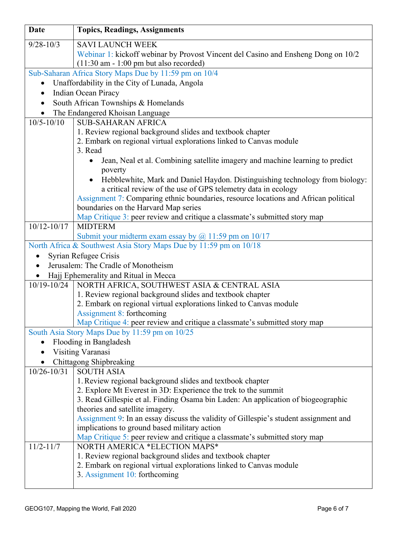| <b>Date</b>                                           | <b>Topics, Readings, Assignments</b>                                                                                         |  |
|-------------------------------------------------------|------------------------------------------------------------------------------------------------------------------------------|--|
| $9/28 - 10/3$                                         | <b>SAVI LAUNCH WEEK</b>                                                                                                      |  |
|                                                       | Webinar 1: kickoff webinar by Provost Vincent del Casino and Ensheng Dong on 10/2                                            |  |
|                                                       | $(11:30$ am - 1:00 pm but also recorded)                                                                                     |  |
| Sub-Saharan Africa Story Maps Due by 11:59 pm on 10/4 |                                                                                                                              |  |
| $\bullet$                                             | Unaffordability in the City of Lunada, Angola                                                                                |  |
| Indian Ocean Piracy<br>$\bullet$                      |                                                                                                                              |  |
| South African Townships & Homelands<br>$\bullet$      |                                                                                                                              |  |
| The Endangered Khoisan Language                       |                                                                                                                              |  |
| $10/5 - 10/10$                                        | <b>SUB-SAHARAN AFRICA</b>                                                                                                    |  |
|                                                       | 1. Review regional background slides and textbook chapter                                                                    |  |
|                                                       | 2. Embark on regional virtual explorations linked to Canvas module<br>3. Read                                                |  |
|                                                       | Jean, Neal et al. Combining satellite imagery and machine learning to predict<br>$\bullet$                                   |  |
|                                                       | poverty                                                                                                                      |  |
|                                                       | Hebblewhite, Mark and Daniel Haydon. Distinguishing technology from biology:<br>$\bullet$                                    |  |
|                                                       | a critical review of the use of GPS telemetry data in ecology                                                                |  |
|                                                       | Assignment 7: Comparing ethnic boundaries, resource locations and African political                                          |  |
|                                                       | boundaries on the Harvard Map series                                                                                         |  |
|                                                       | Map Critique 3: peer review and critique a classmate's submitted story map                                                   |  |
| $10/12 - 10/17$                                       | <b>MIDTERM</b>                                                                                                               |  |
|                                                       | Submit your midterm exam essay by $\omega$ 11:59 pm on 10/17                                                                 |  |
|                                                       | North Africa & Southwest Asia Story Maps Due by 11:59 pm on 10/18                                                            |  |
|                                                       | Syrian Refugee Crisis                                                                                                        |  |
| $\bullet$                                             | Jerusalem: The Cradle of Monotheism                                                                                          |  |
|                                                       | Hajj Ephemerality and Ritual in Mecca                                                                                        |  |
|                                                       | 10/19-10/24   NORTH AFRICA, SOUTHWEST ASIA & CENTRAL ASIA                                                                    |  |
|                                                       | 1. Review regional background slides and textbook chapter                                                                    |  |
|                                                       | 2. Embark on regional virtual explorations linked to Canvas module                                                           |  |
|                                                       | <b>Assignment 8: forthcoming</b>                                                                                             |  |
|                                                       | Map Critique 4: peer review and critique a classmate's submitted story map<br>South Asia Story Maps Due by 11:59 pm on 10/25 |  |
|                                                       | Flooding in Bangladesh                                                                                                       |  |
|                                                       | Visiting Varanasi                                                                                                            |  |
|                                                       | Chittagong Shipbreaking                                                                                                      |  |
| $10/26 - 10/31$                                       | <b>SOUTH ASIA</b>                                                                                                            |  |
|                                                       | 1. Review regional background slides and textbook chapter                                                                    |  |
|                                                       | 2. Explore Mt Everest in 3D: Experience the trek to the summit                                                               |  |
|                                                       | 3. Read Gillespie et al. Finding Osama bin Laden: An application of biogeographic                                            |  |
|                                                       | theories and satellite imagery.                                                                                              |  |
|                                                       | Assignment 9: In an essay discuss the validity of Gillespie's student assignment and                                         |  |
|                                                       | implications to ground based military action                                                                                 |  |
|                                                       | Map Critique 5: peer review and critique a classmate's submitted story map                                                   |  |
| $11/2 - 11/7$                                         | NORTH AMERICA *ELECTION MAPS*                                                                                                |  |
|                                                       | 1. Review regional background slides and textbook chapter                                                                    |  |
|                                                       | 2. Embark on regional virtual explorations linked to Canvas module                                                           |  |
|                                                       | 3. Assignment 10: forthcoming                                                                                                |  |